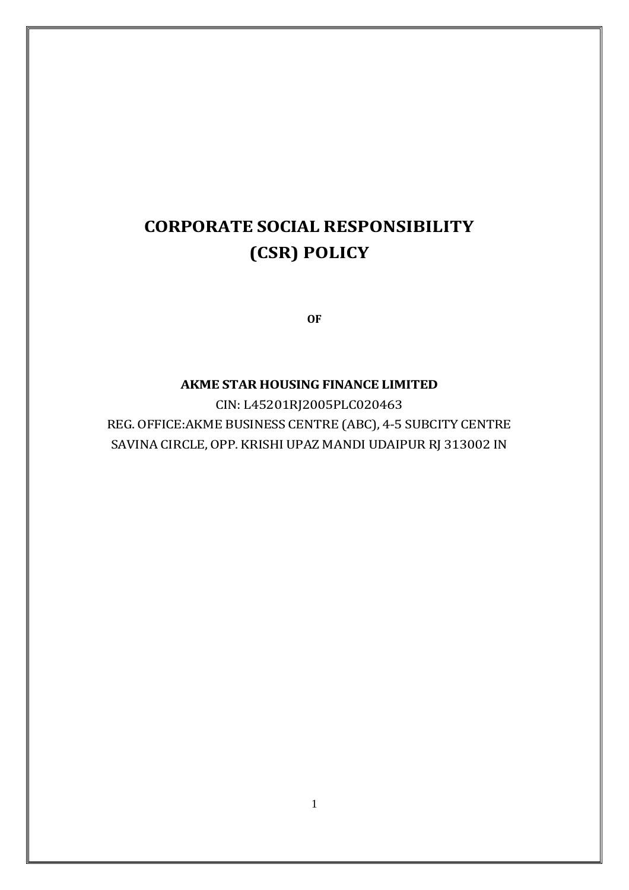# **CORPORATE SOCIAL RESPONSIBILITY (CSR) POLICY**

**OF**

# **AKME STAR HOUSING FINANCE LIMITED**

CIN: L45201RJ2005PLC020463 REG. OFFICE:AKME BUSINESS CENTRE (ABC), 4-5 SUBCITY CENTRE SAVINA CIRCLE, OPP. KRISHI UPAZ MANDI UDAIPUR RJ 313002 IN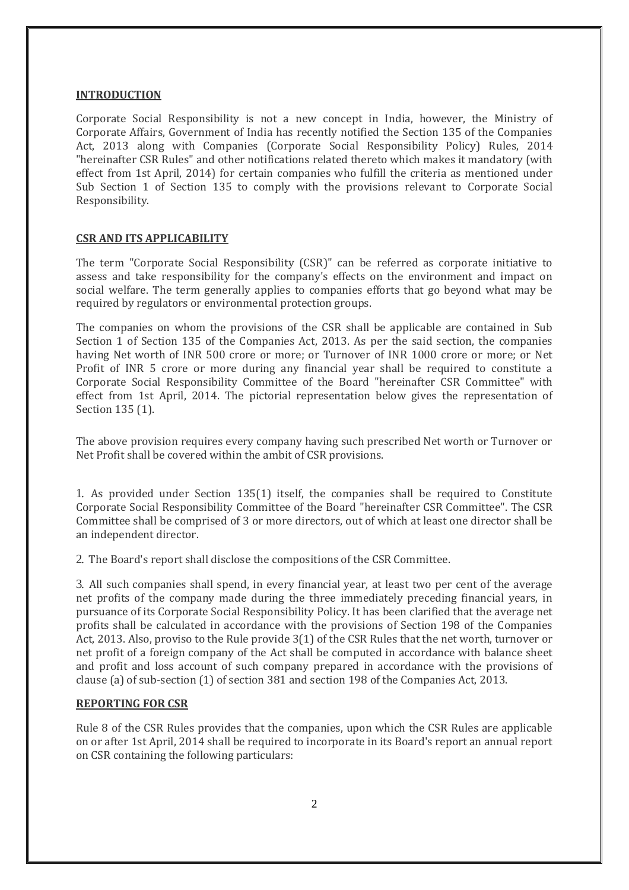#### **INTRODUCTION**

Corporate Social Responsibility is not a new concept in India, however, the Ministry of Corporate Affairs, Government of India has recently notified the Section 135 of the Companies Act, 2013 along with Companies (Corporate Social Responsibility Policy) Rules, 2014 "hereinafter CSR Rules" and other notifications related thereto which makes it mandatory (with effect from 1st April, 2014) for certain companies who fulfill the criteria as mentioned under Sub Section 1 of Section 135 to comply with the provisions relevant to Corporate Social Responsibility.

#### **CSR AND ITS APPLICABILITY**

The term "Corporate Social Responsibility (CSR)" can be referred as corporate initiative to assess and take responsibility for the company's effects on the environment and impact on social welfare. The term generally applies to companies efforts that go beyond what may be required by regulators or environmental protection groups.

The companies on whom the provisions of the CSR shall be applicable are contained in Sub Section 1 of Section 135 of the Companies Act, 2013. As per the said section, the companies having Net worth of INR 500 crore or more; or Turnover of INR 1000 crore or more; or Net Profit of INR 5 crore or more during any financial year shall be required to constitute a Corporate Social Responsibility Committee of the Board "hereinafter CSR Committee" with effect from 1st April, 2014. The pictorial representation below gives the representation of Section 135 (1).

The above provision requires every company having such prescribed Net worth or Turnover or Net Profit shall be covered within the ambit of CSR provisions.

1. As provided under Section 135(1) itself, the companies shall be required to Constitute Corporate Social Responsibility Committee of the Board "hereinafter CSR Committee". The CSR Committee shall be comprised of 3 or more directors, out of which at least one director shall be an independent director.

2. The Board's report shall disclose the compositions of the CSR Committee.

3. All such companies shall spend, in every financial year, at least two per cent of the average net profits of the company made during the three immediately preceding financial years, in pursuance of its Corporate Social Responsibility Policy. It has been clarified that the average net profits shall be calculated in accordance with the provisions of Section 198 of the Companies Act, 2013. Also, proviso to the Rule provide 3(1) of the CSR Rules that the net worth, turnover or net profit of a foreign company of the Act shall be computed in accordance with balance sheet and profit and loss account of such company prepared in accordance with the provisions of clause (a) of sub-section (1) of section 381 and section 198 of the Companies Act, 2013.

#### **REPORTING FOR CSR**

Rule 8 of the CSR Rules provides that the companies, upon which the CSR Rules are applicable on or after 1st April, 2014 shall be required to incorporate in its Board's report an annual report on CSR containing the following particulars: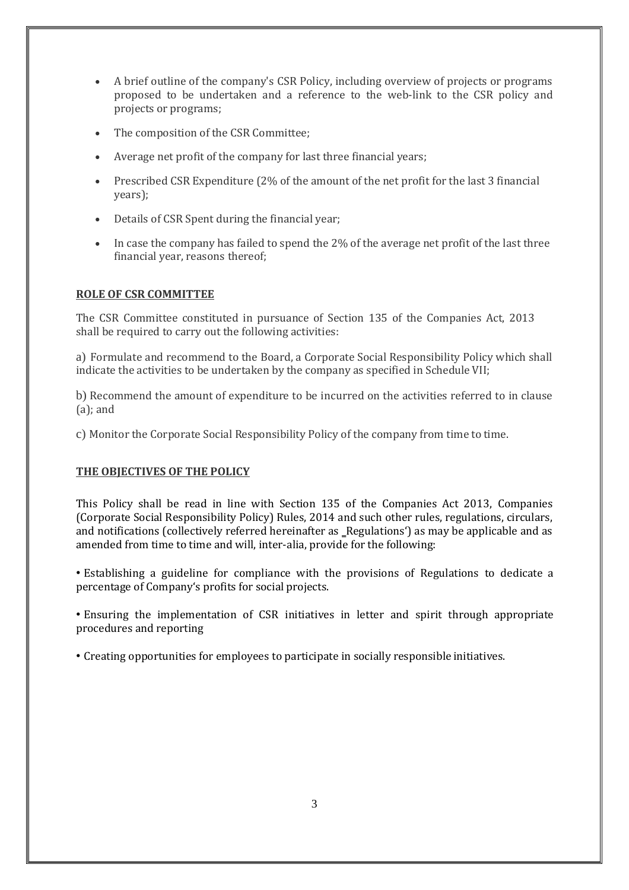- A brief outline of the company's CSR Policy, including overview of projects or programs proposed to be undertaken and a reference to the web-link to the CSR policy and projects or programs;
- The composition of the CSR Committee;
- Average net profit of the company for last three financial years;
- Prescribed CSR Expenditure (2% of the amount of the net profit for the last 3 financial years);
- Details of CSR Spent during the financial year;
- In case the company has failed to spend the 2% of the average net profit of the last three financial year, reasons thereof;

## **ROLE OF CSR COMMITTEE**

The CSR Committee constituted in pursuance of Section 135 of the Companies Act, 2013 shall be required to carry out the following activities:

a) Formulate and recommend to the Board, a Corporate Social Responsibility Policy which shall indicate the activities to be undertaken by the company as specified in Schedule VII;

b) Recommend the amount of expenditure to be incurred on the activities referred to in clause (a); and

c) Monitor the Corporate Social Responsibility Policy of the company from time to time.

## **THE OBJECTIVES OF THE POLICY**

This Policy shall be read in line with Section 135 of the Companies Act 2013, Companies (Corporate Social Responsibility Policy) Rules, 2014 and such other rules, regulations, circulars, and notifications (collectively referred hereinafter as \_Regulations') as may be applicable and as amended from time to time and will, inter-alia, provide for the following:

• Establishing a guideline for compliance with the provisions of Regulations to dedicate a percentage of Company's profits for social projects.

• Ensuring the implementation of CSR initiatives in letter and spirit through appropriate procedures and reporting

• Creating opportunities for employees to participate in socially responsible initiatives.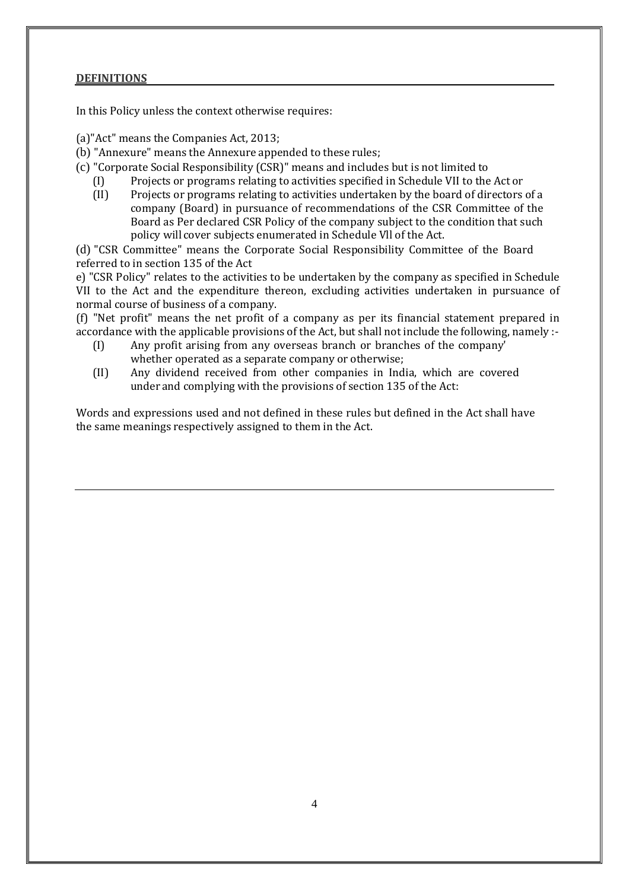#### **DEFINITIONS**

In this Policy unless the context otherwise requires:

- (a)"Act" means the Companies Act, 2013;
- (b) "Annexure" means the Annexure appended to these rules;
- (c) "Corporate Social Responsibility (CSR)" means and includes but is not limited to
	- (I) Projects or programs relating to activities specified in Schedule VII to the Act or
	- (II) Projects or programs relating to activities undertaken by the board of directors of a company (Board) in pursuance of recommendations of the CSR Committee of the Board as Per declared CSR Policy of the company subject to the condition that such policy will cover subjects enumerated in Schedule Vll of the Act.

(d) "CSR Committee" means the Corporate Social Responsibility Committee of the Board referred to in section 135 of the Act

e) "CSR Policy" relates to the activities to be undertaken by the company as specified in Schedule VII to the Act and the expenditure thereon, excluding activities undertaken in pursuance of normal course of business of a company.

(f) "Net profit" means the net profit of a company as per its financial statement prepared in accordance with the applicable provisions of the Act, but shall not include the following, namely :-

- (I) Any profit arising from any overseas branch or branches of the company' whether operated as a separate company or otherwise;
- (II) Any dividend received from other companies in India, which are covered under and complying with the provisions of section 135 of the Act:

Words and expressions used and not defined in these rules but defined in the Act shall have the same meanings respectively assigned to them in the Act.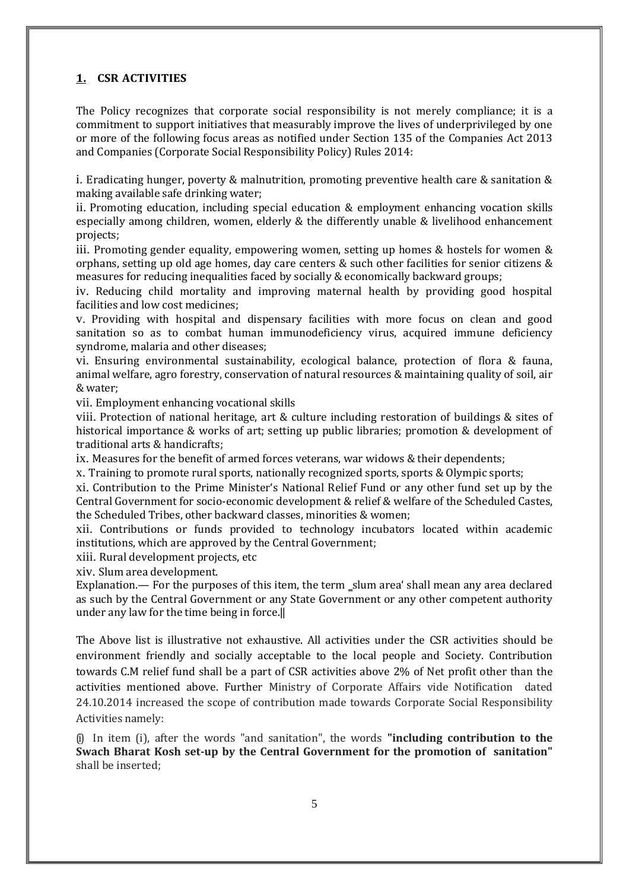# **1. CSR ACTIVITIES**

The Policy recognizes that corporate social responsibility is not merely compliance; it is a commitment to support initiatives that measurably improve the lives of underprivileged by one or more of the following focus areas as notified under Section 135 of the Companies Act 2013 and Companies (Corporate Social Responsibility Policy) Rules 2014:

i. Eradicating hunger, poverty & malnutrition, promoting preventive health care & sanitation & making available safe drinking water;

ii. Promoting education, including special education & employment enhancing vocation skills especially among children, women, elderly & the differently unable & livelihood enhancement projects;

iii. Promoting gender equality, empowering women, setting up homes  $&$  hostels for women  $&$ orphans, setting up old age homes, day care centers & such other facilities for senior citizens & measures for reducing inequalities faced by socially & economically backward groups;

iv. Reducing child mortality and improving maternal health by providing good hospital facilities and low cost medicines;

v. Providing with hospital and dispensary facilities with more focus on clean and good sanitation so as to combat human immunodeficiency virus, acquired immune deficiency syndrome, malaria and other diseases;

vi. Ensuring environmental sustainability, ecological balance, protection of flora & fauna, animal welfare, agro forestry, conservation of natural resources & maintaining quality of soil, air & water;

vii. Employment enhancing vocational skills

viii. Protection of national heritage, art & culture including restoration of buildings & sites of historical importance & works of art; setting up public libraries; promotion & development of traditional arts & handicrafts;

ix. Measures for the benefit of armed forces veterans, war widows & their dependents;

x. Training to promote rural sports, nationally recognized sports, sports & Olympic sports;

xi. Contribution to the Prime Minister's National Relief Fund or any other fund set up by the Central Government for socio-economic development & relief & welfare of the Scheduled Castes, the Scheduled Tribes, other backward classes, minorities & women;

xii. Contributions or funds provided to technology incubators located within academic institutions, which are approved by the Central Government;

xiii. Rural development projects, etc

xiv. Slum area development.

Explanation.— For the purposes of this item, the term \_slum area' shall mean any area declared as such by the Central Government or any State Government or any other competent authority under any law for the time being in force.‖

The Above list is illustrative not exhaustive. All activities under the CSR activities should be environment friendly and socially acceptable to the local people and Society. Contribution towards C.M relief fund shall be a part of CSR activities above 2% of Net profit other than the activities mentioned above. Further Ministry of Corporate Affairs vide Notification dated 24.10.2014 increased the scope of contribution made towards Corporate Social Responsibility Activities namely:

(i) In item (i), after the words "and sanitation", the words **"including contribution to the Swach Bharat Kosh set-up by the Central Government for the promotion of sanitation"**  shall be inserted;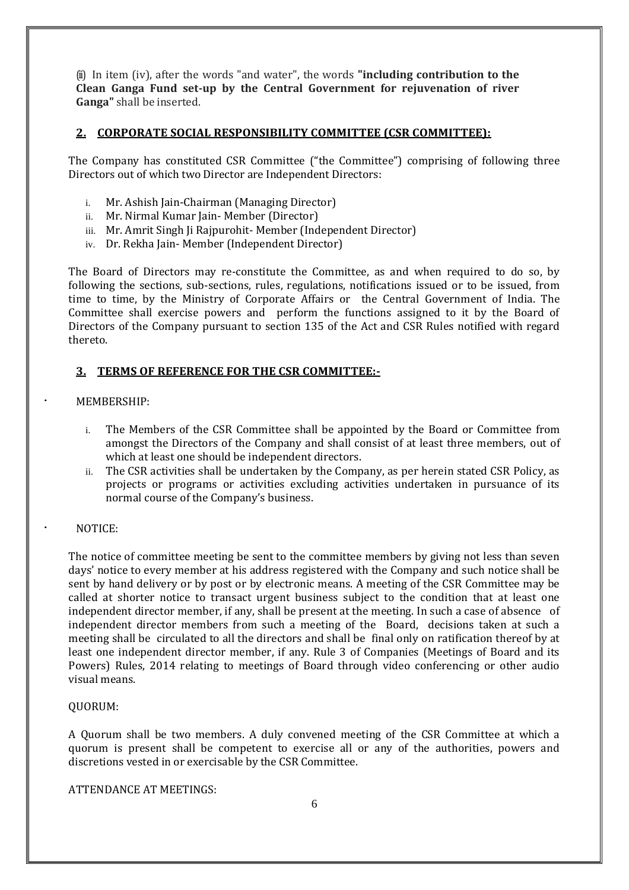(ii) In item (iv), after the words "and water", the words **"including contribution to the Clean Ganga Fund set-up by the Central Government for rejuvenation of river Ganga"** shall be inserted.

#### **2. CORPORATE SOCIAL RESPONSIBILITY COMMITTEE (CSR COMMITTEE):**

The Company has constituted CSR Committee ("the Committee") comprising of following three Directors out of which two Director are Independent Directors:

- i. Mr. Ashish Jain-Chairman (Managing Director)
- ii. Mr. Nirmal Kumar Jain- Member (Director)
- iii. Mr. Amrit Singh Ii Rajpurohit- Member (Independent Director)
- iv. Dr. Rekha Jain- Member (Independent Director)

The Board of Directors may re-constitute the Committee, as and when required to do so, by following the sections, sub-sections, rules, regulations, notifications issued or to be issued, from time to time, by the Ministry of Corporate Affairs or the Central Government of India. The Committee shall exercise powers and perform the functions assigned to it by the Board of Directors of the Company pursuant to section 135 of the Act and CSR Rules notified with regard thereto.

#### **3. TERMS OF REFERENCE FOR THE CSR COMMITTEE:-**

#### · MEMBERSHIP:

- i. The Members of the CSR Committee shall be appointed by the Board or Committee from amongst the Directors of the Company and shall consist of at least three members, out of which at least one should be independent directors.
- ii. The CSR activities shall be undertaken by the Company, as per herein stated CSR Policy, as projects or programs or activities excluding activities undertaken in pursuance of its normal course of the Company's business.

#### · NOTICE:

The notice of committee meeting be sent to the committee members by giving not less than seven days' notice to every member at his address registered with the Company and such notice shall be sent by hand delivery or by post or by electronic means. A meeting of the CSR Committee may be called at shorter notice to transact urgent business subject to the condition that at least one independent director member, if any, shall be present at the meeting. In such a case of absence of independent director members from such a meeting of the Board, decisions taken at such a meeting shall be circulated to all the directors and shall be final only on ratification thereof by at least one independent director member, if any. Rule 3 of Companies (Meetings of Board and its Powers) Rules, 2014 relating to meetings of Board through video conferencing or other audio visual means.

#### QUORUM:

A Quorum shall be two members. A duly convened meeting of the CSR Committee at which a quorum is present shall be competent to exercise all or any of the authorities, powers and discretions vested in or exercisable by the CSR Committee.

ATTENDANCE AT MEETINGS: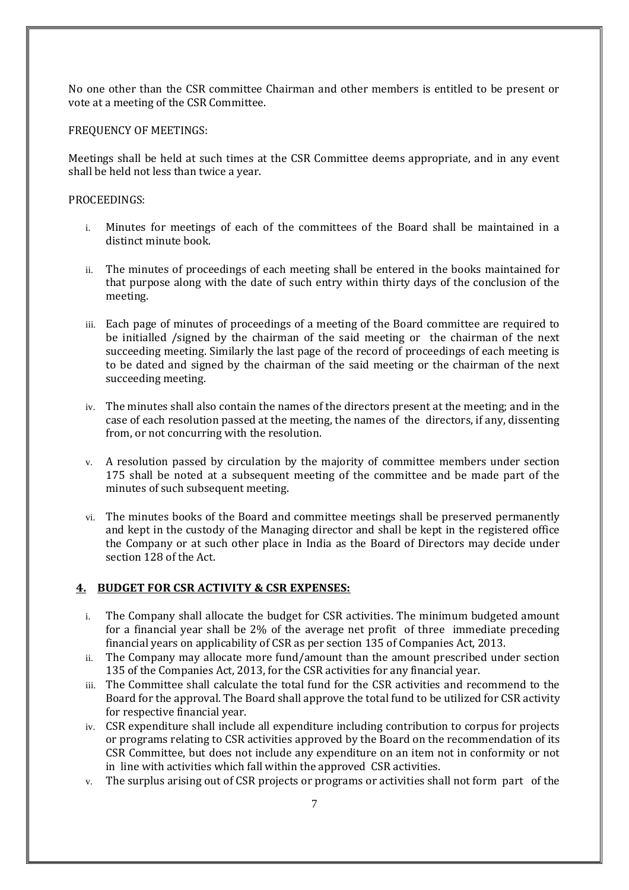No one other than the CSR committee Chairman and other members is entitled to be present or vote at a meeting of the CSR Committee.

#### FREQUENCY OF MEETINGS:

Meetings shall be held at such times at the CSR Committee deems appropriate, and in any event shall be held not less than twice a year.

#### PROCEEDINGS:

- i. Minutes for meetings of each of the committees of the Board shall be maintained in a distinct minute book.
- ii. The minutes of proceedings of each meeting shall be entered in the books maintained for that purpose along with the date of such entry within thirty days of the conclusion of the meeting.
- iii. Each page of minutes of proceedings of a meeting of the Board committee are required to be initialled /signed by the chairman of the said meeting or the chairman of the next succeeding meeting. Similarly the last page of the record of proceedings of each meeting is to be dated and signed by the chairman of the said meeting or the chairman of the next succeeding meeting.
- iv. The minutes shall also contain the names of the directors present at the meeting; and in the case of each resolution passed at the meeting, the names of the directors, if any, dissenting from, or not concurring with the resolution.
- v. A resolution passed by circulation by the majority of committee members under section 175 shall be noted at a subsequent meeting of the committee and be made part of the minutes of such subsequent meeting.
- vi. The minutes books of the Board and committee meetings shall be preserved permanently and kept in the custody of the Managing director and shall be kept in the registered office the Company or at such other place in India as the Board of Directors may decide under section 128 of the Act.

#### **4. BUDGET FOR CSR ACTIVITY & CSR EXPENSES:**

- i. The Company shall allocate the budget for CSR activities. The minimum budgeted amount for a financial year shall be 2% of the average net profit of three immediate preceding financial years on applicability of CSR as per section 135 of Companies Act, 2013.
- ii. The Company may allocate more fund/amount than the amount prescribed under section 135 of the Companies Act, 2013, for the CSR activities for any financial year.
- iii. The Committee shall calculate the total fund for the CSR activities and recommend to the Board for the approval. The Board shall approve the total fund to be utilized for CSR activity for respective financial year.
- iv. CSR expenditure shall include all expenditure including contribution to corpus for projects or programs relating to CSR activities approved by the Board on the recommendation of its CSR Committee, but does not include any expenditure on an item not in conformity or not in line with activities which fall within the approved CSR activities.
- v. The surplus arising out of CSR projects or programs or activities shall not form part of the